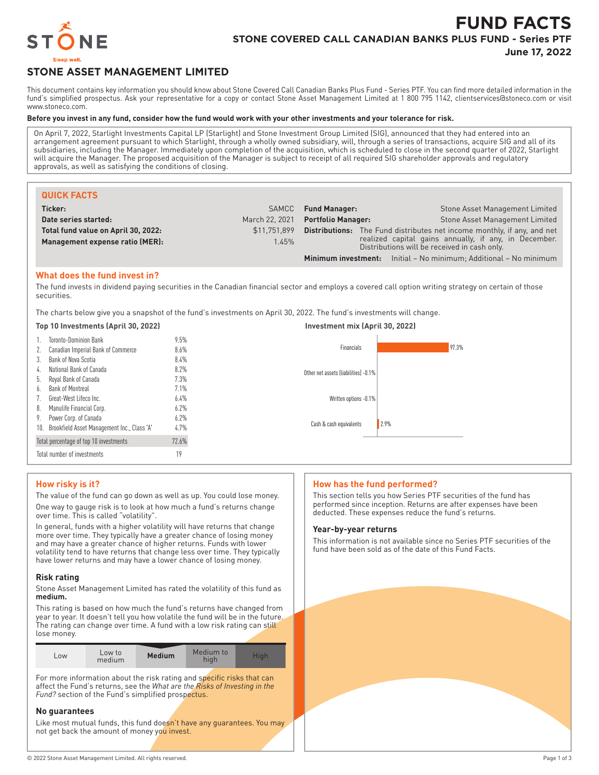

# **FUND FACTS STONE COVERED CALL CANADIAN BANKS PLUS FUND - Series PTF**

**June 17, 2022**

# **STONE ASSET MANAGEMENT LIMITED**

This document contains key information you should know about Stone Covered Call Canadian Banks Plus Fund - Series PTF. You can find more detailed information in the fund's simplified prospectus. Ask your representative for a copy or contact Stone Asset Management Limited at 1 800 795 1142, clientservices@stoneco.com or visit www.stoneco.com.

## **Before you invest in any fund, consider how the fund would work with your other investments and your tolerance for risk.**

On April 7, 2022, Starlight Investments Capital LP (Starlight) and Stone Investment Group Limited (SIG), announced that they had entered into an arrangement agreement pursuant to which Starlight, through a wholly owned subsidiary, will, through a series of transactions, acquire SIG and all of its subsidiaries, including the Manager. Immediately upon completion of the acquisition, which is scheduled to close in the second quarter of 2022, Starlight will acquire the Manager. The proposed acquisition of the Manager is subject to receipt of all required SIG shareholder approvals and regulatory approvals, as well as satisfying the conditions of closing.

| <b>QUICK FACTS</b>                  |                |                                                                                                       |                                                                                |
|-------------------------------------|----------------|-------------------------------------------------------------------------------------------------------|--------------------------------------------------------------------------------|
| Ticker:                             | SAMCC          | <b>Fund Manager:</b>                                                                                  | Stone Asset Management Limited                                                 |
| Date series started:                | March 22, 2021 | <b>Portfolio Manager:</b>                                                                             | Stone Asset Management Limited                                                 |
| Total fund value on April 30, 2022: | \$11.751.899   |                                                                                                       | <b>Distributions:</b> The Fund distributes net income monthly, if any, and net |
| Management expense ratio (MER):     | 1.45%          | realized capital gains annually, if any, in December.<br>Distributions will be received in cash only. |                                                                                |
|                                     |                |                                                                                                       | <b>Minimum investment:</b> Initial – No minimum; Additional – No minimum       |

# **What does the fund invest in?**

The fund invests in dividend paying securities in the Canadian financial sector and employs a covered call option writing strategy on certain of those securities.

The charts below give you a snapshot of the fund's investments on April 30, 2022. The fund's investments will change.

#### **Top 10 Investments (April 30, 2022) Investment mix (April 30, 2022)**



# **How risky is it?**

The value of the fund can go down as well as up. You could lose money.

One way to gauge risk is to look at how much a fund's returns change over time. This is called "volatility".

In general, funds with a higher volatility will have returns that change more over time. They typically have a greater chance of losing money and may have a greater chance of higher returns. Funds with lower volatility tend to have returns that change less over time. They typically have lower returns and may have a lower chance of losing money.

## **Risk rating**

Stone Asset Management Limited has rated the volatility of this fund as **medium.**

This rating is based on how much the fund's returns have changed from year to year. It doesn't tell you how volatile the fund will be in the future. The rating can change over time. A fund with a low risk rating can still lose money.

| $-0W$ | Low to<br>medium | <b>Medium</b> | Medium to<br>hiah | Hiah |
|-------|------------------|---------------|-------------------|------|
|       |                  |               |                   |      |

For more information about the risk rating and specific risks that can affect the Fund's returns, see the *What are the Risks of Investing in the Fund?* section of the Fund's simplified prospectus.

## **No guarantees**

Like most mutual funds, this fund doesn't have any guarantees. You may not get back the amount of money you invest.

## **How has the fund performed?**

This section tells you how Series PTF securities of the fund has performed since inception. Returns are after expenses have been deducted. These expenses reduce the fund's returns.

# **Year-by-year returns**

This information is not available since no Series PTF securities of the fund have been sold as of the date of this Fund Facts.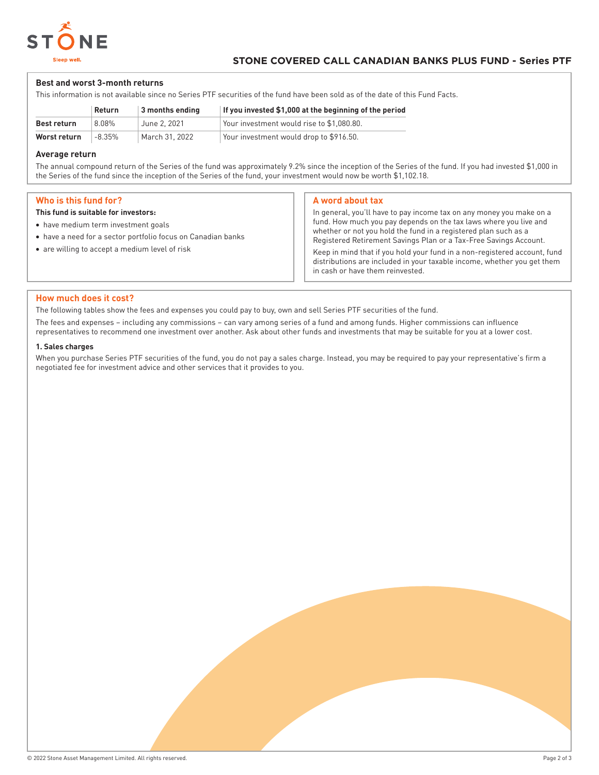

# **Best and worst 3-month returns**

This information is not available since no Series PTF securities of the fund have been sold as of the date of this Fund Facts.

|              | Return   | $\vert$ 3 months ending | If you invested \$1,000 at the beginning of the period |
|--------------|----------|-------------------------|--------------------------------------------------------|
| Best return  | 8.08%    | June 2. 2021            | Your investment would rise to \$1,080.80.              |
| Worst return | $-8.35%$ | March 31, 2022          | Your investment would drop to \$916.50.                |

# **Average return**

The annual compound return of the Series of the fund was approximately 9.2% since the inception of the Series of the fund. If you had invested \$1,000 in the Series of the fund since the inception of the Series of the fund, your investment would now be worth \$1,102.18.

# **Who is this fund for?**

# **This fund is suitable for investors:**

- have medium term investment goals
- have a need for a sector portfolio focus on Canadian banks
- are willing to accept a medium level of risk

# **A word about tax**

In general, you'll have to pay income tax on any money you make on a fund. How much you pay depends on the tax laws where you live and whether or not you hold the fund in a registered plan such as a Registered Retirement Savings Plan or a Tax-Free Savings Account.

Keep in mind that if you hold your fund in a non-registered account, fund distributions are included in your taxable income, whether you get them in cash or have them reinvested.

# **How much does it cost?**

The following tables show the fees and expenses you could pay to buy, own and sell Series PTF securities of the fund.

The fees and expenses – including any commissions – can vary among series of a fund and among funds. Higher commissions can influence representatives to recommend one investment over another. Ask about other funds and investments that may be suitable for you at a lower cost.

## **1. Sales charges**

When you purchase Series PTF securities of the fund, you do not pay a sales charge. Instead, you may be required to pay your representative's firm a negotiated fee for investment advice and other services that it provides to you.